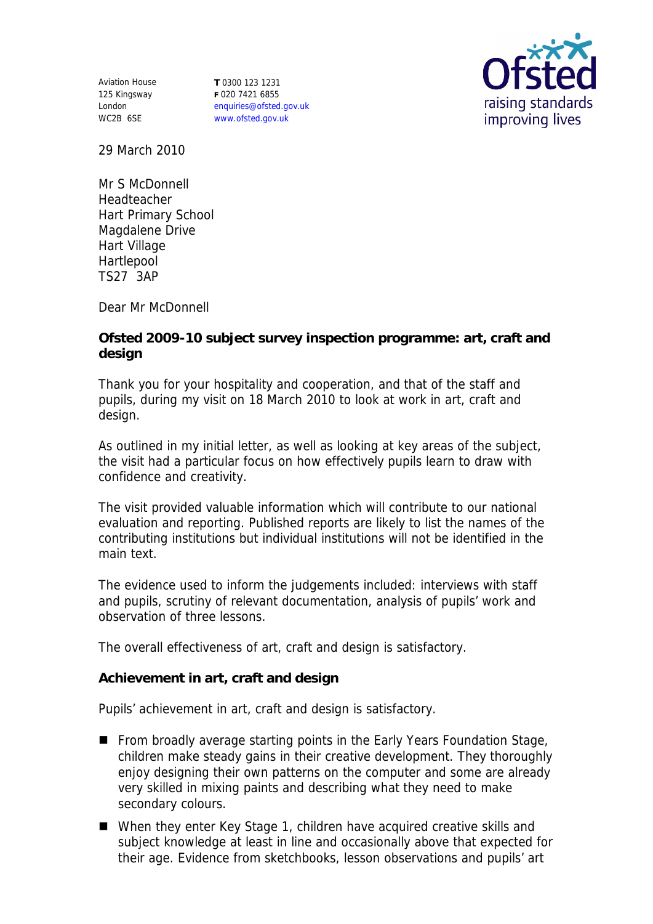Aviation House 125 Kingsway London WC2B 6SE **T** 0300 123 1231 **F** 020 7421 6855 enquiries@ofsted.gov.uk www.ofsted.gov.uk



29 March 2010

Mr S McDonnell Headteacher Hart Primary School Magdalene Drive Hart Village Hartlepool TS27 3AP

Dear Mr McDonnell

**Ofsted 2009-10 subject survey inspection programme: art, craft and design** 

Thank you for your hospitality and cooperation, and that of the staff and pupils, during my visit on 18 March 2010 to look at work in art, craft and design.

As outlined in my initial letter, as well as looking at key areas of the subject, the visit had a particular focus on how effectively pupils learn to draw with confidence and creativity.

The visit provided valuable information which will contribute to our national evaluation and reporting. Published reports are likely to list the names of the contributing institutions but individual institutions will not be identified in the main text.

The evidence used to inform the judgements included: interviews with staff and pupils, scrutiny of relevant documentation, analysis of pupils' work and observation of three lessons.

The overall effectiveness of art, craft and design is satisfactory.

**Achievement in art, craft and design** 

Pupils' achievement in art, craft and design is satisfactory.

- From broadly average starting points in the Early Years Foundation Stage, children make steady gains in their creative development. They thoroughly enjoy designing their own patterns on the computer and some are already very skilled in mixing paints and describing what they need to make secondary colours.
- When they enter Key Stage 1, children have acquired creative skills and subject knowledge at least in line and occasionally above that expected for their age. Evidence from sketchbooks, lesson observations and pupils' art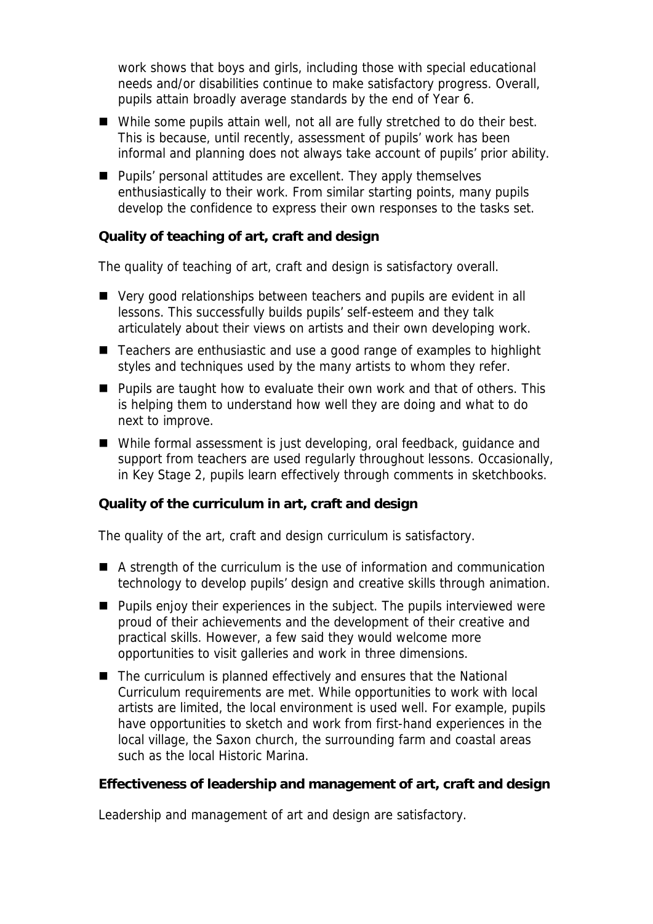work shows that boys and girls, including those with special educational needs and/or disabilities continue to make satisfactory progress. Overall, pupils attain broadly average standards by the end of Year 6.

- While some pupils attain well, not all are fully stretched to do their best. This is because, until recently, assessment of pupils' work has been informal and planning does not always take account of pupils' prior ability.
- **Pupils' personal attitudes are excellent. They apply themselves** enthusiastically to their work. From similar starting points, many pupils develop the confidence to express their own responses to the tasks set.

## **Quality of teaching of art, craft and design**

The quality of teaching of art, craft and design is satisfactory overall.

- Very good relationships between teachers and pupils are evident in all lessons. This successfully builds pupils' self-esteem and they talk articulately about their views on artists and their own developing work.
- Teachers are enthusiastic and use a good range of examples to highlight styles and techniques used by the many artists to whom they refer.
- **Pupils are taught how to evaluate their own work and that of others. This** is helping them to understand how well they are doing and what to do next to improve.
- While formal assessment is just developing, oral feedback, quidance and support from teachers are used regularly throughout lessons. Occasionally, in Key Stage 2, pupils learn effectively through comments in sketchbooks.

**Quality of the curriculum in art, craft and design**

The quality of the art, craft and design curriculum is satisfactory.

- A strength of the curriculum is the use of information and communication technology to develop pupils' design and creative skills through animation.
- **Pupils enjoy their experiences in the subject. The pupils interviewed were** proud of their achievements and the development of their creative and practical skills. However, a few said they would welcome more opportunities to visit galleries and work in three dimensions.
- The curriculum is planned effectively and ensures that the National Curriculum requirements are met. While opportunities to work with local artists are limited, the local environment is used well. For example, pupils have opportunities to sketch and work from first-hand experiences in the local village, the Saxon church, the surrounding farm and coastal areas such as the local Historic Marina.

**Effectiveness of leadership and management of art, craft and design**

Leadership and management of art and design are satisfactory.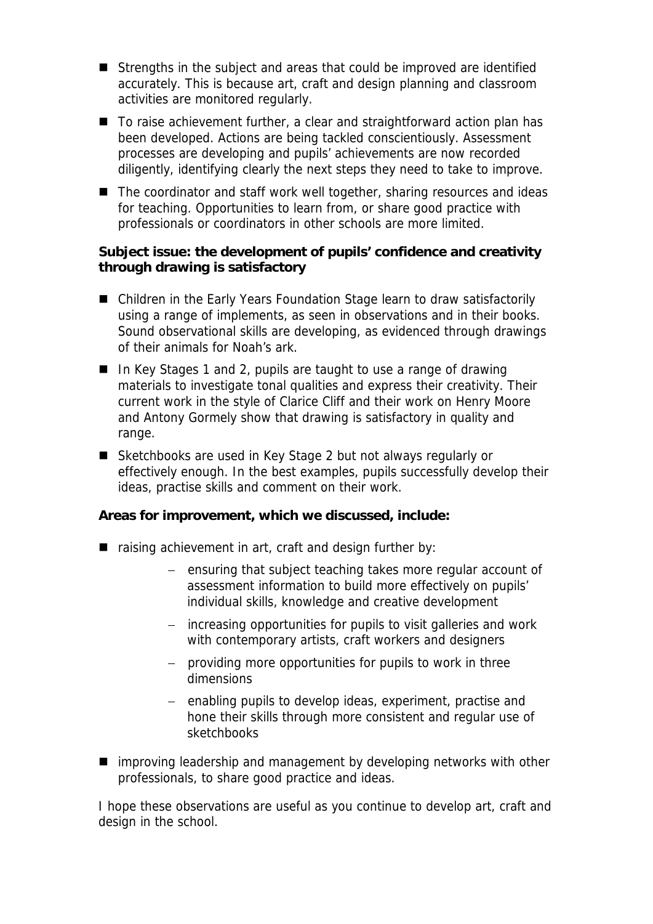- Strengths in the subject and areas that could be improved are identified accurately. This is because art, craft and design planning and classroom activities are monitored regularly.
- To raise achievement further, a clear and straightforward action plan has been developed. Actions are being tackled conscientiously. Assessment processes are developing and pupils' achievements are now recorded diligently, identifying clearly the next steps they need to take to improve.
- The coordinator and staff work well together, sharing resources and ideas for teaching. Opportunities to learn from, or share good practice with professionals or coordinators in other schools are more limited.

**Subject issue: the development of pupils' confidence and creativity through drawing is satisfactory** 

- Children in the Early Years Foundation Stage learn to draw satisfactorily using a range of implements, as seen in observations and in their books. Sound observational skills are developing, as evidenced through drawings of their animals for Noah's ark.
- In Key Stages 1 and 2, pupils are taught to use a range of drawing materials to investigate tonal qualities and express their creativity. Their current work in the style of Clarice Cliff and their work on Henry Moore and Antony Gormely show that drawing is satisfactory in quality and range.
- Sketchbooks are used in Key Stage 2 but not always regularly or effectively enough. In the best examples, pupils successfully develop their ideas, practise skills and comment on their work.

**Areas for improvement, which we discussed, include:**

- raising achievement in art, craft and design further by:
	- ensuring that subject teaching takes more regular account of assessment information to build more effectively on pupils' individual skills, knowledge and creative development
	- increasing opportunities for pupils to visit galleries and work with contemporary artists, craft workers and designers
	- providing more opportunities for pupils to work in three dimensions
	- enabling pupils to develop ideas, experiment, practise and hone their skills through more consistent and regular use of sketchbooks
- improving leadership and management by developing networks with other professionals, to share good practice and ideas.

I hope these observations are useful as you continue to develop art, craft and design in the school.